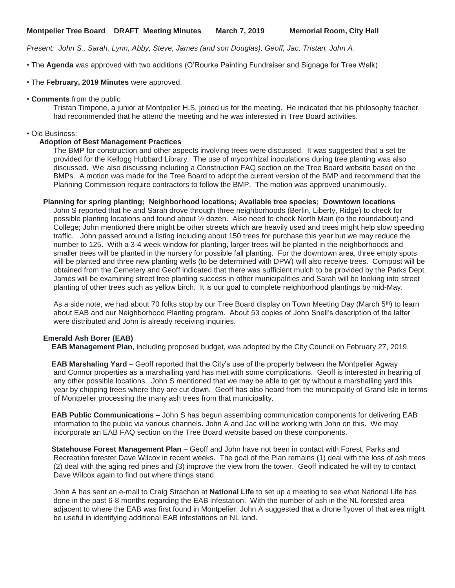*Present: John S., Sarah, Lynn, Abby, Steve, James (and son Douglas), Geoff, Jac, Tristan, John A.*

• The **Agenda** was approved with two additions (O'Rourke Painting Fundraiser and Signage for Tree Walk)

• The **February, 2019 Minutes** were approved.

## • **Comments** from the public

Tristan Timpone, a junior at Montpelier H.S. joined us for the meeting. He indicated that his philosophy teacher had recommended that he attend the meeting and he was interested in Tree Board activities.

### • Old Business:

#### **Adoption of Best Management Practices**

The BMP for construction and other aspects involving trees were discussed. It was suggested that a set be provided for the Kellogg Hubbard Library. The use of mycorrhizal inoculations during tree planting was also discussed. We also discussing including a Construction FAQ section on the Tree Board website based on the BMPs. A motion was made for the Tree Board to adopt the current version of the BMP and recommend that the Planning Commission require contractors to follow the BMP. The motion was approved unanimously.

## **Planning for spring planting; Neighborhood locations; Available tree species; Downtown locations**

John S reported that he and Sarah drove through three neighborhoods (Berlin, Liberty, Ridge) to check for possible planting locations and found about ½ dozen. Also need to check North Main (to the roundabout) and College; John mentioned there might be other streets which are heavily used and trees might help slow speeding traffic. John passed around a listing including about 150 trees for purchase this year but we may reduce the number to 125. With a 3-4 week window for planting, larger trees will be planted in the neighborhoods and smaller trees will be planted in the nursery for possible fall planting. For the downtown area, three empty spots will be planted and three new planting wells (to be determined with DPW) will also receive trees. Compost will be obtained from the Cemetery and Geoff indicated that there was sufficient mulch to be provided by the Parks Dept. James will be examining street tree planting success in other municipalities and Sarah will be looking into street planting of other trees such as yellow birch. It is our goal to complete neighborhood plantings by mid-May.

As a side note, we had about 70 folks stop by our Tree Board display on Town Meeting Day (March 5<sup>th</sup>) to learn about EAB and our Neighborhood Planting program. About 53 copies of John Snell's description of the latter were distributed and John is already receiving inquiries.

## **Emerald Ash Borer (EAB)**

**EAB Management Plan**, including proposed budget, was adopted by the City Council on February 27, 2019.

 **EAB Marshaling Yard** – Geoff reported that the City's use of the property between the Montpelier Agway and Connor properties as a marshalling yard has met with some complications. Geoff is interested in hearing of any other possible locations. John S mentioned that we may be able to get by without a marshalling yard this year by chipping trees where they are cut down. Geoff has also heard from the municipality of Grand Isle in terms of Montpelier processing the many ash trees from that municipality.

 **EAB Public Communications –** John S has begun assembling communication components for delivering EAB information to the public via various channels. John A and Jac will be working with John on this. We may incorporate an EAB FAQ section on the Tree Board website based on these components.

 **Statehouse Forest Management Plan** – Geoff and John have not been in contact with Forest, Parks and Recreation forester Dave Wilcox in recent weeks. The goal of the Plan remains (1) deal with the loss of ash trees (2) deal with the aging red pines and (3) improve the view from the tower. Geoff indicated he will try to contact Dave Wilcox again to find out where things stand.

John A has sent an e-mail to Craig Strachan at **National Life** to set up a meeting to see what National Life has done in the past 6-8 months regarding the EAB infestation. With the number of ash in the NL forested area adjacent to where the EAB was first found in Montpelier, John A suggested that a drone flyover of that area might be useful in identifying additional EAB infestations on NL land.